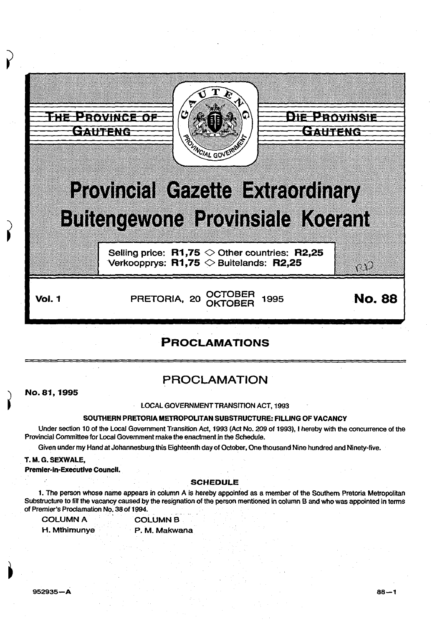

# PROCLAMATIONS

# PROCLAMATION

No. 81, 1995

#### LOCAL GOVERNMENT TRANSITION ACT, 1993

#### SOUTHERN PRETORIA METROPOLITAN SUBSTRUCTURE: FILLING OF VACANCY

Under section 10 of the Local Government Transition Act, 1993 (Act No. 209 of 1993), I hereby with the concurrence of the Provincial Committee for local Government make the enactment in the Schedule.

Given under my Hand at Johannesburg this Eighteenth day of October, One thousand Nine hundred and Ninety-five.

#### T. M.G. SEXWALE,

Premier-In-Executive Council.

#### **SCHEDULE**

1. The person whose name appears in column A is hereby appointed as a member of the Southern Pretoria Metropolitan Substructure to fill the vacancy caused by the resignation of the person mentioned in column B and who was appointed in terms of Premier's Proclamation No. 38 of 1994.

| <b>COLUMN A</b> | <b>COLUMN B</b> |
|-----------------|-----------------|
| H. Mthimunye    | P. M. Makwana   |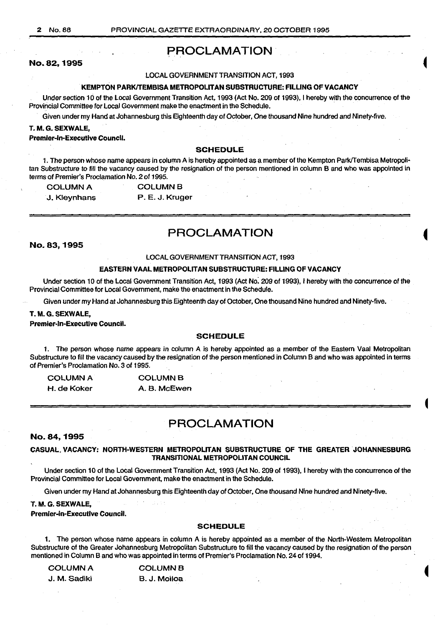## PROCLAMATION

No.82, 1995

#### LOCAL GOVERNMENT TRANSITION ACT, 1993

#### KEMPTON PARKITEMBISA METROPOLITAN SUBSTRUCTURE: FILLING OF VACANCY

Under section 10 of the local Government Transition Act, 1993 (Act No. 209 of 1993), I hereby with the concurrence of the Provincial Committee for Local Government make the enactment in the Schedule. ·

Given under my Hand at Johannesburg this Eighteenth day of October, One thousand Nine hundred and Ninety-five.

#### T. M.G. SEXWALE,

Premier-In-Executive Council.

#### SCHEDULE

1. The person whose name appears in column A is hereby appointed as a member of the Kempton Park/Tembisa Metropolitan Substructure to fill the vacancy caused by the resignation of the person mentioned in column B and who was appointed in terms of Premier's Proclamation No. 2 of 1995.

| <b>COLUMN A</b> | <b>COLUMN B</b> |  |
|-----------------|-----------------|--|
| J. Kleynhans    | P. E. J. Kruger |  |

# PROCLAMATION

No. 83,1995

#### LOCAL GOVERNMENT TRANSITION ACT, 1993

#### EASTERN VAAL METROPOLITAN SUBSTRUCTURE: FILLING OF VACANCY

Under section 10 of the local Government Transition Act, 1993 (Act No: 209 of 1993), I hereby with the concurrence of the Provincial Committee for Local Government, make the enactment in the Schedule.

Given under my Hand at Johannesburg this Eighteenth day of October, One thousand Nine hundred and Ninety-five.

#### T. M.G. SEXWALE,

#### Premier-In-Executive Council.

#### SCHEDULE

1. The person whose name appears in column A is hereby appointed as a member of the Eastern Vaal Metropolitan Substructure to fill the vacancy caused by the resignation of the person mentioned in Column B and who was appointed in terms of Premier's Proclamation No. 3 of 1995.

| <b>COLUMN A</b> | <b>COLUMN B</b> |  |
|-----------------|-----------------|--|
| H. de Koker     | A. B. McEwen    |  |

### PROCLAMATION

#### No. 84,1995

#### CASUAL. VACANCY: NORTH-WESTERN METROPOLITAN SUBSTRUCTURE OF THE GREATER JOHANNESBURG TRANSITIONAL METROPOLITAN COUNCIL

Under section 10 of the Local Government Transition Act, 1993 (Act No. 209 of 1993), I hereby with the concurrence of the Provincial Committee for Local Government, make the enactment in the Schedule.

Given under my Hand at Johannesburg this Eighteenth day of October, One thousand Nine hundred and Ninety-five.

#### T. M.G. SEXWALE,

Premier-in-Executive Council.

#### **SCHEDULE**

1. The person whose name appears in column A is hereby appointed as a member of the North-Western Metropolitan Substructure of the Greater Johannesburg Metropolitan Substructure to fill the vacancy caused by the resignation of the person mentioned in Column B and who was appointed in terms of Premier's Proclamation No. 24 of 1994.

| COLUMN A<br><b>COLUMN B</b> |               |
|-----------------------------|---------------|
| J. M. Sadiki                | B. J. Moiloa⊥ |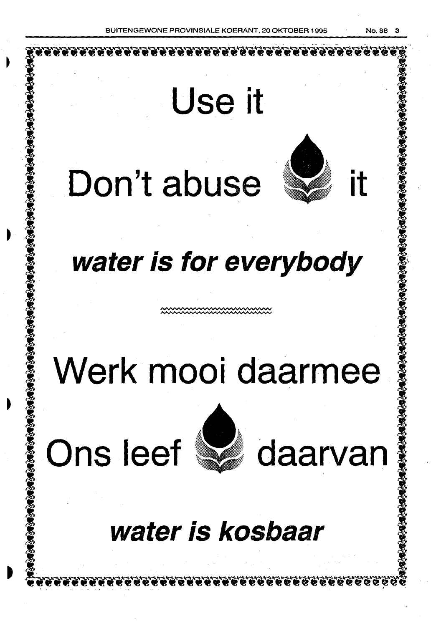**Use it** 



# **water is for everybody**

# **Werk mooi daarmee**

**Ons leef**  $\mathbb{Z}$  daarvan



# **water is kosbaar**